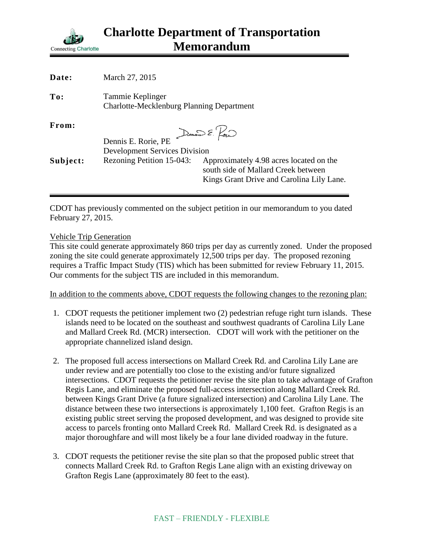

| Date:    | March 27, 2015                                                       |                                                                                                                             |
|----------|----------------------------------------------------------------------|-----------------------------------------------------------------------------------------------------------------------------|
| To:      | Tammie Keplinger<br><b>Charlotte-Mecklenburg Planning Department</b> |                                                                                                                             |
| From:    |                                                                      | Dennis E. Pour                                                                                                              |
|          | Dennis E. Rorie, PE                                                  |                                                                                                                             |
|          | <b>Development Services Division</b>                                 |                                                                                                                             |
| Subject: | Rezoning Petition 15-043:                                            | Approximately 4.98 acres located on the<br>south side of Mallard Creek between<br>Kings Grant Drive and Carolina Lily Lane. |
|          |                                                                      |                                                                                                                             |

CDOT has previously commented on the subject petition in our memorandum to you dated February 27, 2015.

#### Vehicle Trip Generation

This site could generate approximately 860 trips per day as currently zoned. Under the proposed zoning the site could generate approximately 12,500 trips per day. The proposed rezoning requires a Traffic Impact Study (TIS) which has been submitted for review February 11, 2015. Our comments for the subject TIS are included in this memorandum.

In addition to the comments above, CDOT requests the following changes to the rezoning plan:

- 1. CDOT requests the petitioner implement two (2) pedestrian refuge right turn islands. These islands need to be located on the southeast and southwest quadrants of Carolina Lily Lane and Mallard Creek Rd. (MCR) intersection. CDOT will work with the petitioner on the appropriate channelized island design.
- 2. The proposed full access intersections on Mallard Creek Rd. and Carolina Lily Lane are under review and are potentially too close to the existing and/or future signalized intersections. CDOT requests the petitioner revise the site plan to take advantage of Grafton Regis Lane, and eliminate the proposed full-access intersection along Mallard Creek Rd. between Kings Grant Drive (a future signalized intersection) and Carolina Lily Lane. The distance between these two intersections is approximately 1,100 feet. Grafton Regis is an existing public street serving the proposed development, and was designed to provide site access to parcels fronting onto Mallard Creek Rd. Mallard Creek Rd. is designated as a major thoroughfare and will most likely be a four lane divided roadway in the future.
- 3. CDOT requests the petitioner revise the site plan so that the proposed public street that connects Mallard Creek Rd. to Grafton Regis Lane align with an existing driveway on Grafton Regis Lane (approximately 80 feet to the east).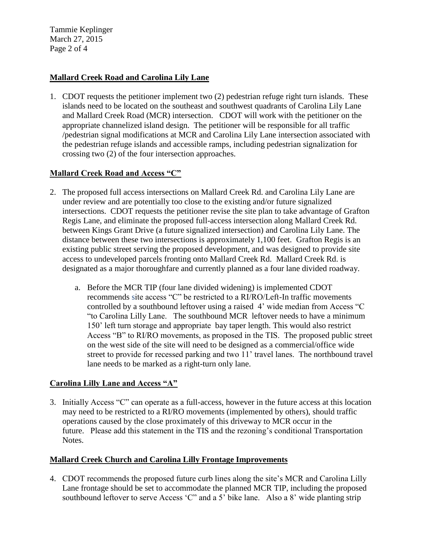Tammie Keplinger March 27, 2015 Page 2 of 4

## **Mallard Creek Road and Carolina Lily Lane**

1. CDOT requests the petitioner implement two (2) pedestrian refuge right turn islands. These islands need to be located on the southeast and southwest quadrants of Carolina Lily Lane and Mallard Creek Road (MCR) intersection. CDOT will work with the petitioner on the appropriate channelized island design. The petitioner will be responsible for all traffic /pedestrian signal modifications at MCR and Carolina Lily Lane intersection associated with the pedestrian refuge islands and accessible ramps, including pedestrian signalization for crossing two (2) of the four intersection approaches.

## **Mallard Creek Road and Access "C"**

- 2. The proposed full access intersections on Mallard Creek Rd. and Carolina Lily Lane are under review and are potentially too close to the existing and/or future signalized intersections. CDOT requests the petitioner revise the site plan to take advantage of Grafton Regis Lane, and eliminate the proposed full-access intersection along Mallard Creek Rd. between Kings Grant Drive (a future signalized intersection) and Carolina Lily Lane. The distance between these two intersections is approximately 1,100 feet. Grafton Regis is an existing public street serving the proposed development, and was designed to provide site access to undeveloped parcels fronting onto Mallard Creek Rd. Mallard Creek Rd. is designated as a major thoroughfare and currently planned as a four lane divided roadway.
	- a. Before the MCR TIP (four lane divided widening) is implemented CDOT recommends site access "C" be restricted to a RI/RO/Left-In traffic movements controlled by a southbound leftover using a raised 4' wide median from Access "C "to Carolina Lilly Lane. The southbound MCR leftover needs to have a minimum 150' left turn storage and appropriate bay taper length. This would also restrict Access "B" to RI/RO movements, as proposed in the TIS. The proposed public street on the west side of the site will need to be designed as a commercial/office wide street to provide for recessed parking and two 11' travel lanes. The northbound travel lane needs to be marked as a right-turn only lane.

### **Carolina Lilly Lane and Access "A"**

3. Initially Access "C" can operate as a full-access, however in the future access at this location may need to be restricted to a RI/RO movements (implemented by others), should traffic operations caused by the close proximately of this driveway to MCR occur in the future. Please add this statement in the TIS and the rezoning's conditional Transportation Notes.

# **Mallard Creek Church and Carolina Lilly Frontage Improvements**

4. CDOT recommends the proposed future curb lines along the site's MCR and Carolina Lilly Lane frontage should be set to accommodate the planned MCR TIP, including the proposed southbound leftover to serve Access 'C" and a 5' bike lane. Also a 8' wide planting strip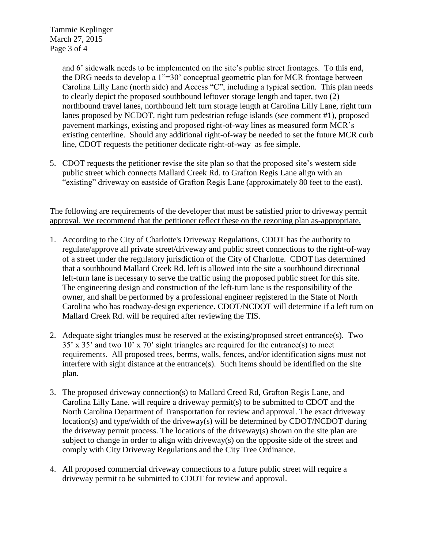Tammie Keplinger March 27, 2015 Page 3 of 4

> and 6' sidewalk needs to be implemented on the site's public street frontages. To this end, the DRG needs to develop a 1"=30' conceptual geometric plan for MCR frontage between Carolina Lilly Lane (north side) and Access "C", including a typical section. This plan needs to clearly depict the proposed southbound leftover storage length and taper, two (2) northbound travel lanes, northbound left turn storage length at Carolina Lilly Lane, right turn lanes proposed by NCDOT, right turn pedestrian refuge islands (see comment #1), proposed pavement markings, existing and proposed right-of-way lines as measured form MCR's existing centerline. Should any additional right-of-way be needed to set the future MCR curb line, CDOT requests the petitioner dedicate right-of-way as fee simple.

5. CDOT requests the petitioner revise the site plan so that the proposed site's western side public street which connects Mallard Creek Rd. to Grafton Regis Lane align with an "existing" driveway on eastside of Grafton Regis Lane (approximately 80 feet to the east).

The following are requirements of the developer that must be satisfied prior to driveway permit approval. We recommend that the petitioner reflect these on the rezoning plan as-appropriate.

- 1. According to the City of Charlotte's Driveway Regulations, CDOT has the authority to regulate/approve all private street/driveway and public street connections to the right-of-way of a street under the regulatory jurisdiction of the City of Charlotte. CDOT has determined that a southbound Mallard Creek Rd. left is allowed into the site a southbound directional left-turn lane is necessary to serve the traffic using the proposed public street for this site. The engineering design and construction of the left-turn lane is the responsibility of the owner, and shall be performed by a professional engineer registered in the State of North Carolina who has roadway-design experience. CDOT/NCDOT will determine if a left turn on Mallard Creek Rd. will be required after reviewing the TIS.
- 2. Adequate sight triangles must be reserved at the existing/proposed street entrance(s). Two 35' x 35' and two 10' x 70' sight triangles are required for the entrance(s) to meet requirements. All proposed trees, berms, walls, fences, and/or identification signs must not interfere with sight distance at the entrance(s). Such items should be identified on the site plan.
- 3. The proposed driveway connection(s) to Mallard Creed Rd, Grafton Regis Lane, and Carolina Lilly Lane. will require a driveway permit(s) to be submitted to CDOT and the North Carolina Department of Transportation for review and approval. The exact driveway location(s) and type/width of the driveway(s) will be determined by CDOT/NCDOT during the driveway permit process. The locations of the driveway(s) shown on the site plan are subject to change in order to align with driveway(s) on the opposite side of the street and comply with City Driveway Regulations and the City Tree Ordinance.
- 4. All proposed commercial driveway connections to a future public street will require a driveway permit to be submitted to CDOT for review and approval.